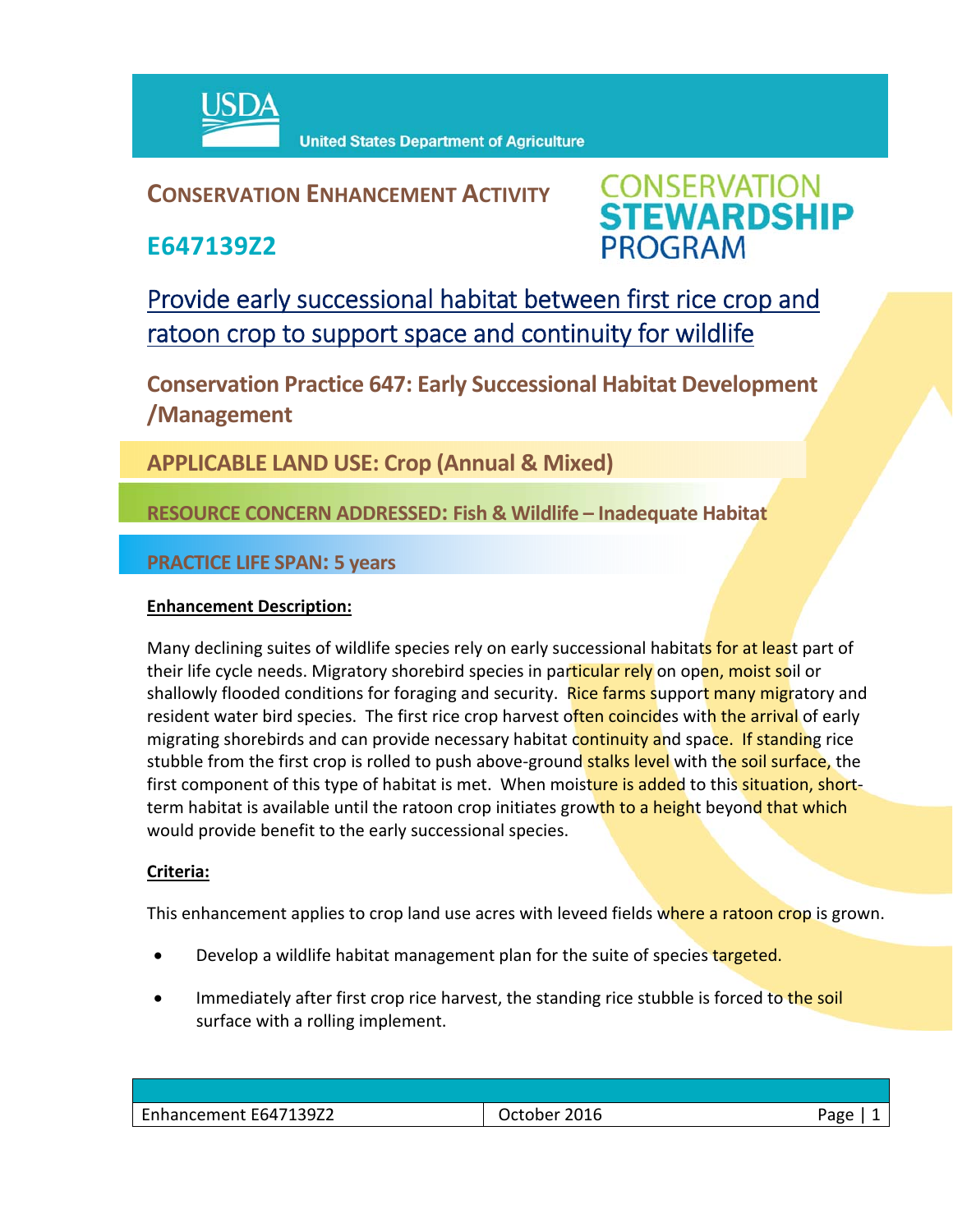

**United States Department of Agriculture** 

## **CONSERVATION ENHANCEMENT ACTIVITY**

**E647139Z2**



Provide early successional habitat between first rice crop and ratoon crop to support space and continuity for wildlife

**Conservation Practice 647: Early Successional Habitat Development /Management** 

**APPLICABLE LAND USE: Crop (Annual & Mixed)**

**RESOURCE CONCERN ADDRESSED: Fish & Wildlife – Inadequate Habitat**

**PRACTICE LIFE SPAN: 5 years**

## **Enhancement Description:**

Many declining suites of wildlife species rely on early successional habitats for at least part of their life cycle needs. Migratory shorebird species in particular rely on open, moist soil or shallowly flooded conditions for foraging and security. Rice farms support many migratory and resident water bird species. The first rice crop harvest often coincides with the arrival of early migrating shorebirds and can provide necessary habitat continuity and space. If standing rice stubble from the first crop is rolled to push above-ground stalks level with the soil surface, the first component of this type of habitat is met. When moisture is added to this situation, shortterm habitat is available until the ratoon crop initiates growth to a height beyond that which would provide benefit to the early successional species.

## **Criteria:**

This enhancement applies to crop land use acres with leveed fields where a ratoon crop is grown.

- Develop a wildlife habitat management plan for the suite of species targeted.
- Immediately after first crop rice harvest, the standing rice stubble is forced to the soil surface with a rolling implement.

| $\overline{\phantom{0}}$<br>E647139Z2<br>Enhancement | 2016<br>ctober | aec |
|------------------------------------------------------|----------------|-----|